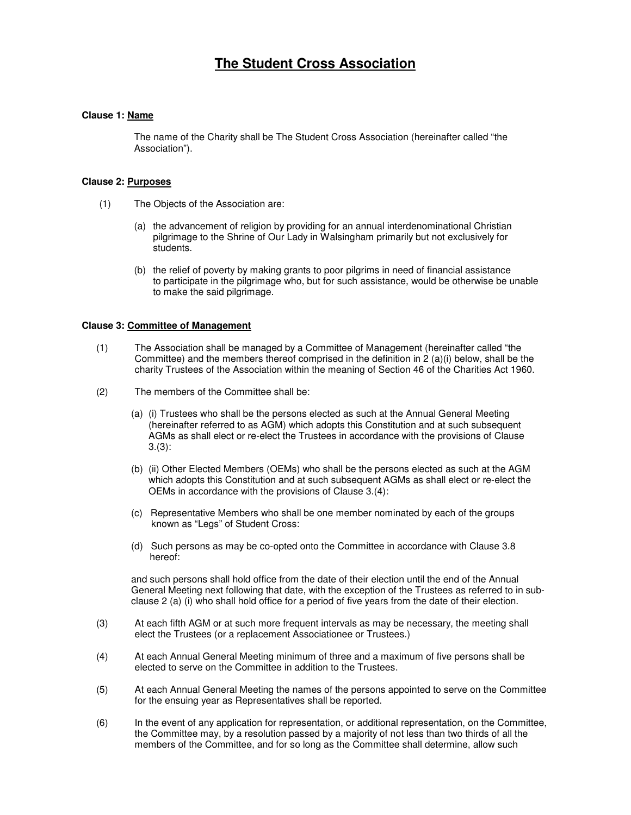# **The Student Cross Association**

# **Clause 1: Name**

The name of the Charity shall be The Student Cross Association (hereinafter called "the Association").

## **Clause 2: Purposes**

- (1) The Objects of the Association are:
	- (a) the advancement of religion by providing for an annual interdenominational Christian pilgrimage to the Shrine of Our Lady in Walsingham primarily but not exclusively for students.
	- (b) the relief of poverty by making grants to poor pilgrims in need of financial assistance to participate in the pilgrimage who, but for such assistance, would be otherwise be unable to make the said pilgrimage.

# **Clause 3: Committee of Management**

- (1) The Association shall be managed by a Committee of Management (hereinafter called "the Committee) and the members thereof comprised in the definition in 2 (a)(i) below, shall be the charity Trustees of the Association within the meaning of Section 46 of the Charities Act 1960.
- (2) The members of the Committee shall be:
	- (a) (i) Trustees who shall be the persons elected as such at the Annual General Meeting (hereinafter referred to as AGM) which adopts this Constitution and at such subsequent AGMs as shall elect or re-elect the Trustees in accordance with the provisions of Clause 3.(3):
	- (b) (ii) Other Elected Members (OEMs) who shall be the persons elected as such at the AGM which adopts this Constitution and at such subsequent AGMs as shall elect or re-elect the OEMs in accordance with the provisions of Clause 3.(4):
	- (c) Representative Members who shall be one member nominated by each of the groups known as "Legs" of Student Cross:
	- (d) Such persons as may be co-opted onto the Committee in accordance with Clause 3.8 hereof:

and such persons shall hold office from the date of their election until the end of the Annual General Meeting next following that date, with the exception of the Trustees as referred to in subclause 2 (a) (i) who shall hold office for a period of five years from the date of their election.

- (3) At each fifth AGM or at such more frequent intervals as may be necessary, the meeting shall elect the Trustees (or a replacement Associationee or Trustees.)
- (4) At each Annual General Meeting minimum of three and a maximum of five persons shall be elected to serve on the Committee in addition to the Trustees.
- (5) At each Annual General Meeting the names of the persons appointed to serve on the Committee for the ensuing year as Representatives shall be reported.
- (6) In the event of any application for representation, or additional representation, on the Committee, the Committee may, by a resolution passed by a majority of not less than two thirds of all the members of the Committee, and for so long as the Committee shall determine, allow such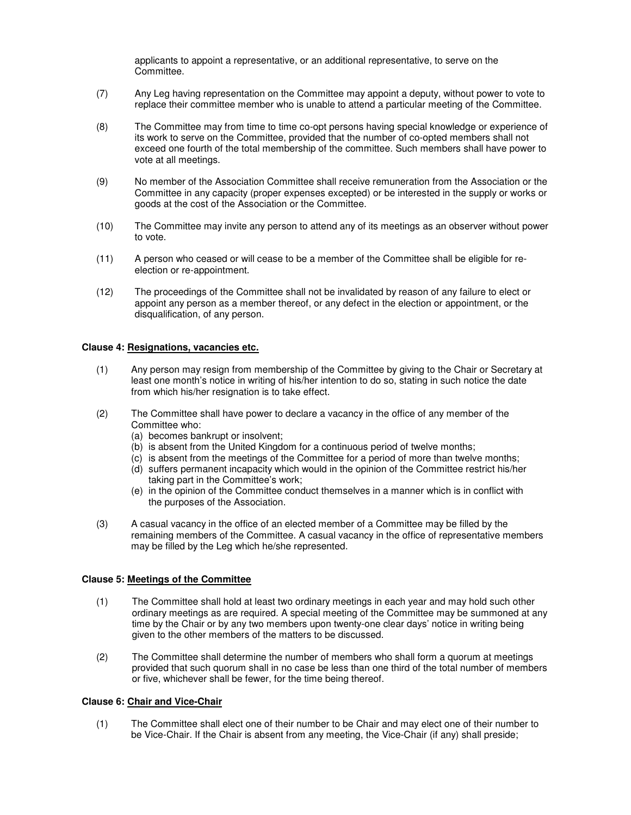applicants to appoint a representative, or an additional representative, to serve on the Committee.

- (7) Any Leg having representation on the Committee may appoint a deputy, without power to vote to replace their committee member who is unable to attend a particular meeting of the Committee.
- (8) The Committee may from time to time co-opt persons having special knowledge or experience of its work to serve on the Committee, provided that the number of co-opted members shall not exceed one fourth of the total membership of the committee. Such members shall have power to vote at all meetings.
- (9) No member of the Association Committee shall receive remuneration from the Association or the Committee in any capacity (proper expenses excepted) or be interested in the supply or works or goods at the cost of the Association or the Committee.
- (10) The Committee may invite any person to attend any of its meetings as an observer without power to vote.
- (11) A person who ceased or will cease to be a member of the Committee shall be eligible for reelection or re-appointment.
- (12) The proceedings of the Committee shall not be invalidated by reason of any failure to elect or appoint any person as a member thereof, or any defect in the election or appointment, or the disqualification, of any person.

#### **Clause 4: Resignations, vacancies etc.**

- (1) Any person may resign from membership of the Committee by giving to the Chair or Secretary at least one month's notice in writing of his/her intention to do so, stating in such notice the date from which his/her resignation is to take effect.
- (2) The Committee shall have power to declare a vacancy in the office of any member of the Committee who:
	- (a) becomes bankrupt or insolvent;
	- (b) is absent from the United Kingdom for a continuous period of twelve months;
	- (c) is absent from the meetings of the Committee for a period of more than twelve months;
	- (d) suffers permanent incapacity which would in the opinion of the Committee restrict his/her taking part in the Committee's work;
	- (e) in the opinion of the Committee conduct themselves in a manner which is in conflict with the purposes of the Association.
- (3) A casual vacancy in the office of an elected member of a Committee may be filled by the remaining members of the Committee. A casual vacancy in the office of representative members may be filled by the Leg which he/she represented.

#### **Clause 5: Meetings of the Committee**

- (1) The Committee shall hold at least two ordinary meetings in each year and may hold such other ordinary meetings as are required. A special meeting of the Committee may be summoned at any time by the Chair or by any two members upon twenty-one clear days' notice in writing being given to the other members of the matters to be discussed.
- (2) The Committee shall determine the number of members who shall form a quorum at meetings provided that such quorum shall in no case be less than one third of the total number of members or five, whichever shall be fewer, for the time being thereof.

# **Clause 6: Chair and Vice-Chair**

(1) The Committee shall elect one of their number to be Chair and may elect one of their number to be Vice-Chair. If the Chair is absent from any meeting, the Vice-Chair (if any) shall preside;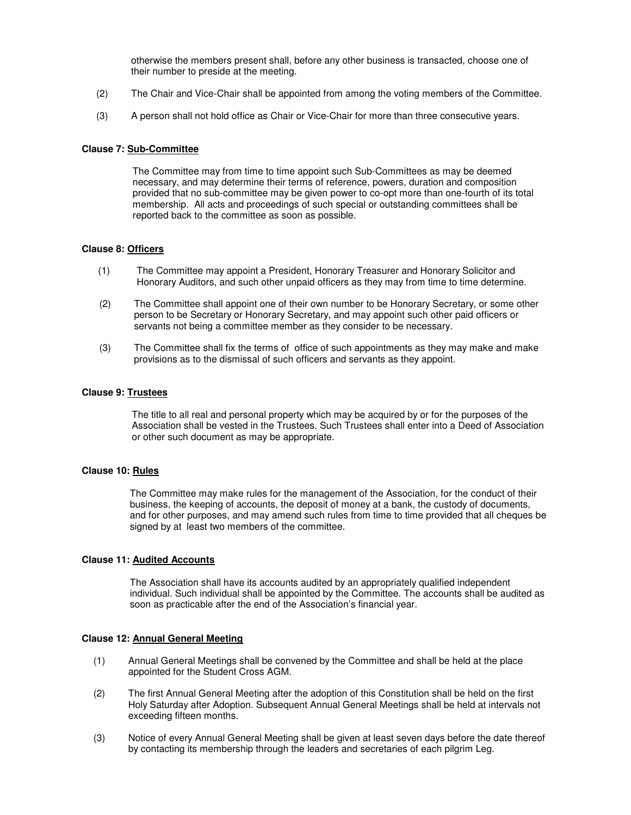otherwise the members present shall, before any other business is transacted, choose one of their number to preside at the meeting.

- (2) The Chair and Vice-Chair shall be appointed from among the voting members of the Committee.
- (3) A person shall not hold office as Chair or Vice-Chair for more than three consecutive years.

#### **Clause 7: Sub-Committee**

The Committee may from time to time appoint such Sub-Committees as may be deemed necessary, and may determine their terms of reference, powers, duration and composition provided that no sub-committee may be given power to co-opt more than one-fourth of its total membership. All acts and proceedings of such special or outstanding committees shall be reported back to the committee as soon as possible.

## **Clause 8: Officers**

- (1) The Committee may appoint a President, Honorary Treasurer and Honorary Solicitor and Honorary Auditors, and such other unpaid officers as they may from time to time determine.
- (2) The Committee shall appoint one of their own number to be Honorary Secretary, or some other person to be Secretary or Honorary Secretary, and may appoint such other paid officers or servants not being a committee member as they consider to be necessary.
- (3) The Committee shall fix the terms of office of such appointments as they may make and make provisions as to the dismissal of such officers and servants as they appoint.

#### **Clause 9: Trustees**

The title to all real and personal property which may be acquired by or for the purposes of the Association shall be vested in the Trustees. Such Trustees shall enter into a Deed of Association or other such document as may be appropriate.

## **Clause 10: Rules**

The Committee may make rules for the management of the Association, for the conduct of their business, the keeping of accounts, the deposit of money at a bank, the custody of documents, and for other purposes, and may amend such rules from time to time provided that all cheques be signed by at least two members of the committee.

# **Clause 11: Audited Accounts**

The Association shall have its accounts audited by an appropriately qualified independent individual. Such individual shall be appointed by the Committee. The accounts shall be audited as soon as practicable after the end of the Association's financial year.

# **Clause 12: Annual General Meeting**

- (1) Annual General Meetings shall be convened by the Committee and shall be held at the place appointed for the Student Cross AGM.
- (2) The first Annual General Meeting after the adoption of this Constitution shall be held on the first Holy Saturday after Adoption. Subsequent Annual General Meetings shall be held at intervals not exceeding fifteen months.
- (3) Notice of every Annual General Meeting shall be given at least seven days before the date thereof by contacting its membership through the leaders and secretaries of each pilgrim Leg.